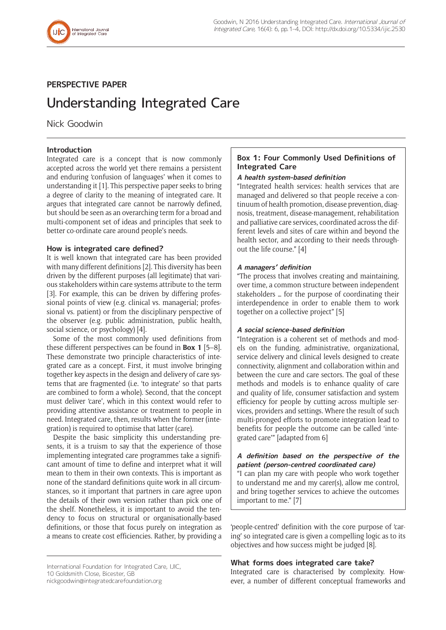

## **PERSPECTIVE PAPER**

# Understanding Integrated Care

Nick Goodwin

## **Introduction**

Integrated care is a concept that is now commonly accepted across the world yet there remains a persistent and enduring 'confusion of languages' when it comes to understanding it [1]. This perspective paper seeks to bring a degree of clarity to the meaning of integrated care. It argues that integrated care cannot be narrowly defined, but should be seen as an overarching term for a broad and multi-component set of ideas and principles that seek to better co-ordinate care around people's needs.

## **How is integrated care defined?**

It is well known that integrated care has been provided with many different definitions [2]. This diversity has been driven by the different purposes (all legitimate) that various stakeholders within care systems attribute to the term [3]. For example, this can be driven by differing professional points of view (e.g. clinical vs. managerial; professional vs. patient) or from the disciplinary perspective of the observer (e.g. public administration, public health, social science, or psychology) [4].

Some of the most commonly used definitions from these different perspectives can be found in **Box 1** [5–8]. These demonstrate two principle characteristics of integrated care as a concept. First, it must involve bringing together key aspects in the design and delivery of care systems that are fragmented (i.e. 'to integrate' so that parts are combined to form a whole). Second, that the concept must deliver 'care', which in this context would refer to providing attentive assistance or treatment to people in need. Integrated care, then, results when the former (integration) is required to optimise that latter (care).

Despite the basic simplicity this understanding presents, it is a truism to say that the experience of those implementing integrated care programmes take a significant amount of time to define and interpret what it will mean to them in their own contexts. This is important as none of the standard definitions quite work in all circumstances, so it important that partners in care agree upon the details of their own version rather than pick one of the shelf. Nonetheless, it is important to avoid the tendency to focus on structural or organisationally-based definitions, or those that focus purely on integration as a means to create cost efficiencies. Rather, by providing a

## **Box 1: Four Commonly Used Definitions of Integrated Care**

## **A health system-based definition**

"Integrated health services: health services that are managed and delivered so that people receive a continuum of health promotion, disease prevention, diagnosis, treatment, disease-management, rehabilitation and palliative care services, coordinated across the different levels and sites of care within and beyond the health sector, and according to their needs throughout the life course." [4]

## **A managers' definition**

"The process that involves creating and maintaining, over time, a common structure between independent stakeholders … for the purpose of coordinating their interdependence in order to enable them to work together on a collective project" [5]

## **A social science-based definition**

"Integration is a coherent set of methods and models on the funding, administrative, organizational, service delivery and clinical levels designed to create connectivity, alignment and collaboration within and between the cure and care sectors. The goal of these methods and models is to enhance quality of care and quality of life, consumer satisfaction and system efficiency for people by cutting across multiple services, providers and settings. Where the result of such multi-pronged efforts to promote integration lead to benefits for people the outcome can be called 'integrated care'" [adapted from 6]

## **A definition based on the perspective of the patient (person-centred coordinated care)**

"I can plan my care with people who work together to understand me and my carer(s), allow me control, and bring together services to achieve the outcomes important to me." [7]

'people-centred' definition with the core purpose of 'caring' so integrated care is given a compelling logic as to its objectives and how success might be judged [8].

## **What forms does integrated care take?**

Integrated care is characterised by complexity. However, a number of different conceptual frameworks and

International Foundation for Integrated Care, IJIC, 10 Goldsmith Close, Bicester, GB

[nickgoodwin@integratedcarefoundation.org](mailto:nickgoodwin@integratedcarefoundation.org)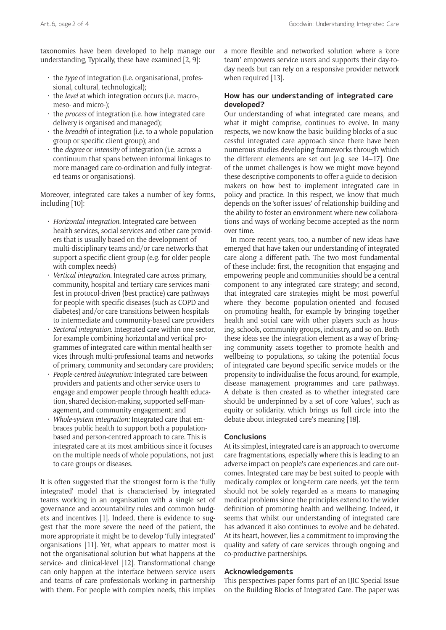taxonomies have been developed to help manage our understanding, Typically, these have examined [2, 9]:

- the *type* of integration (i.e. organisational, professional, cultural, technological);
- the *level* at which integration occurs (i.e. macro-, meso- and micro-);
- the *process* of integration (i.e. how integrated care delivery is organised and managed);
- the *breadth* of integration (i.e. to a whole population group or specific client group); and
- the *degree* or *intensity* of integration (i.e. across a continuum that spans between informal linkages to more managed care co-ordination and fully integrated teams or organisations).

Moreover, integrated care takes a number of key forms, including [10]:

- *Horizontal integration.* Integrated care between health services, social services and other care providers that is usually based on the development of multi-disciplinary teams and/or care networks that support a specific client group (e.g. for older people with complex needs)
- *Vertical integration.* Integrated care across primary, community, hospital and tertiary care services manifest in protocol-driven (best practice) care pathways for people with specific diseases (such as COPD and diabetes) and/or care transitions between hospitals to intermediate and community-based care providers
- *Sectoral integration.* Integrated care within one sector, for example combining horizontal and vertical programmes of integrated care within mental health services through multi-professional teams and networks of primary, community and secondary care providers;
- *People-centred integration:* Integrated care between providers and patients and other service users to engage and empower people through health education, shared decision-making, supported self-management, and community engagement; and
- *Whole-system integration:* Integrated care that embraces public health to support both a populationbased and person-centred approach to care. This is integrated care at its most ambitious since it focuses on the multiple needs of whole populations, not just to care groups or diseases.

It is often suggested that the strongest form is the 'fully integrated' model that is characterised by integrated teams working in an organisation with a single set of governance and accountability rules and common budgets and incentives [1]. Indeed, there is evidence to suggest that the more severe the need of the patient, the more appropriate it might be to develop 'fully integrated' organisations [11]. Yet, what appears to matter most is not the organisational solution but what happens at the service- and clinical-level [12]. Transformational change can only happen at the interface between service users and teams of care professionals working in partnership with them. For people with complex needs, this implies a more flexible and networked solution where a 'core team' empowers service users and supports their day-today needs but can rely on a responsive provider network when required [13].

## **How has our understanding of integrated care developed?**

Our understanding of what integrated care means, and what it might comprise, continues to evolve. In many respects, we now know the basic building blocks of a successful integrated care approach since there have been numerous studies developing frameworks through which the different elements are set out [e.g. see 14–17]. One of the unmet challenges is how we might move beyond these descriptive components to offer a guide to decisionmakers on how best to implement integrated care in policy and practice. In this respect, we know that much depends on the 'softer issues' of relationship building and the ability to foster an environment where new collaborations and ways of working become accepted as the norm over time.

In more recent years, too, a number of new ideas have emerged that have taken our understanding of integrated care along a different path. The two most fundamental of these include: first, the recognition that engaging and empowering people and communities should be a central component to any integrated care strategy; and second, that integrated care strategies might be most powerful where they become population-oriented and focused on promoting health, for example by bringing together health and social care with other players such as housing, schools, community groups, industry, and so on. Both these ideas see the integration element as a way of bringing community assets together to promote health and wellbeing to populations, so taking the potential focus of integrated care beyond specific service models or the propensity to individualise the focus around, for example, disease management programmes and care pathways. A debate is then created as to whether integrated care should be underpinned by a set of core 'values', such as equity or solidarity, which brings us full circle into the debate about integrated care's meaning [18].

## **Conclusions**

At its simplest, integrated care is an approach to overcome care fragmentations, especially where this is leading to an adverse impact on people's care experiences and care outcomes. Integrated care may be best suited to people with medically complex or long-term care needs, yet the term should not be solely regarded as a means to managing medical problems since the principles extend to the wider definition of promoting health and wellbeing. Indeed, it seems that whilst our understanding of integrated care has advanced it also continues to evolve and be debated. At its heart, however, lies a commitment to improving the quality and safety of care services through ongoing and co-productive partnerships.

## **Acknowledgements**

This perspectives paper forms part of an IJIC Special Issue on the Building Blocks of Integrated Care. The paper was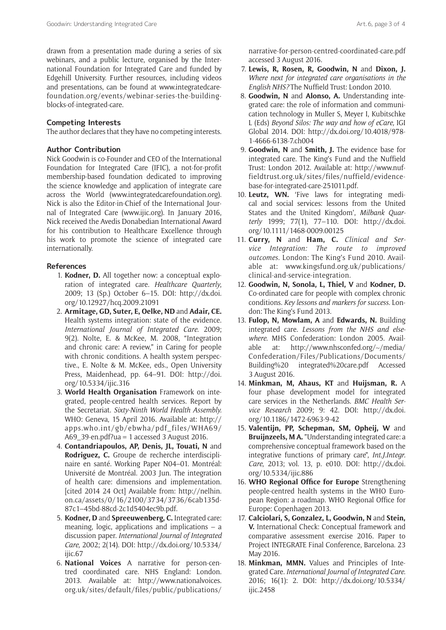drawn from a presentation made during a series of six webinars, and a public lecture, organised by the International Foundation for Integrated Care and funded by Edgehill University. Further resources, including videos and presentations, can be found at [www.integratedcare](http://www.integratedcarefoundation.org/events/webinar-series-the-building-blocks-of-integrated-care)[foundation.org/events/webinar-series-the-building](http://www.integratedcarefoundation.org/events/webinar-series-the-building-blocks-of-integrated-care)[blocks-of-integrated-care.](http://www.integratedcarefoundation.org/events/webinar-series-the-building-blocks-of-integrated-care)

#### **Competing Interests**

The author declares that they have no competing interests.

#### **Author Contribution**

Nick Goodwin is co-Founder and CEO of the International Foundation for Integrated Care (IFIC), a not-for-profit membership-based foundation dedicated to improving the science knowledge and application of integrate care across the World [\(www.integratedcarefoundation.org\)](http://www.integratedcarefoundation.org). Nick is also the Editor-in-Chief of the International Journal of Integrated Care [\(www.ijic.org\)](http://www.ijic.org). In January 2016, Nick received the Avedis Donabedian International Award for his contribution to Healthcare Excellence through his work to promote the science of integrated care internationally.

#### **References**

- 1. **Kodner, D.** All together now: a conceptual exploration of integrated care. *Healthcare Quarterly*, 2009; 13 (Sp.) October 6–15. DOI: [http://dx.doi.](http://dx.doi.org/10.12927/hcq.2009.21091) [org/10.12927/hcq.2009.21091](http://dx.doi.org/10.12927/hcq.2009.21091)
- 2. **Armitage, GD, Suter, E, Oelke, ND** and **Adair, CE.** Health systems integration: state of the evidence. *International Journal of Integrated Care*. 2009; 9(2). Nolte, E. & McKee, M. 2008, "Integration and chronic care: A review," in Caring for people with chronic conditions. A health system perspective*.*, E. Nolte & M. McKee, eds., Open University Press, Maidenhead, pp. 64–91. DOI: [http://doi.](http://doi.org/10.5334/ijic.316) [org/10.5334/ijic.316](http://doi.org/10.5334/ijic.316)
- 3. **World Health Organisation** Framework on integrated, people-centred health services. Report by the Secretariat. *Sixty-Ninth World Health Assembly.* WHO: Geneva, 15 April 2016. Available at: [http://](http://apps.who.int/gb/ebwha/pdf_files/WHA69/A69_39-en.pdf?ua=1) [apps.who.int/gb/ebwha/pdf\\_files/WHA69/](http://apps.who.int/gb/ebwha/pdf_files/WHA69/A69_39-en.pdf?ua=1) [A69\\_39-en.pdf?ua](http://apps.who.int/gb/ebwha/pdf_files/WHA69/A69_39-en.pdf?ua=1) = 1 accessed 3 August 2016.
- 4. **Contandriapoulos, AP, Denis, JL, Touati, N** and **Rodriguez, C.** Groupe de recherche interdisciplinaire en santé. Working Paper N04–01. Montréal: Université de Montréal. 2003 Jun. The integration of health care: dimensions and implementation. [cited 2014 24 Oct] Available from: [http://nelhin.](http://nelhin.on.ca/assets/0/16/2100/3734/3736/6cab135d-87c1-45bd-88cd-2c1d5404ec9b.pdf) [on.ca/assets/0/16/2100/3734/3736/6cab135d-](http://nelhin.on.ca/assets/0/16/2100/3734/3736/6cab135d-87c1-45bd-88cd-2c1d5404ec9b.pdf)[87c1–45bd-88cd-2c1d5404ec9b.pdf.](http://nelhin.on.ca/assets/0/16/2100/3734/3736/6cab135d-87c1-45bd-88cd-2c1d5404ec9b.pdf)
- 5. **Kodner, D** and **Spreeuwenberg, C.** Integrated care: meaning, logic, applications and implications – a discussion paper. *International Journal of Integrated Care,* 2002; 2(14). DOI: [http://dx.doi.org/10.5334/](http://dx.doi.org/10.5334/ijic.67) [ijic.67](http://dx.doi.org/10.5334/ijic.67)
- 6. **National Voices** A narrative for person-centred coordinated care. NHS England: London. 2013. Available at: [http://www.nationalvoices.](http://www.nationalvoices.org.uk/sites/default/files/public/publications/narrative-for-person-centred-coordinated-care.pdf) [org.uk/sites/default/files/public/publications/](http://www.nationalvoices.org.uk/sites/default/files/public/publications/narrative-for-person-centred-coordinated-care.pdf)

[narrative-for-person-centred-coordinated-care.pdf](http://www.nationalvoices.org.uk/sites/default/files/public/publications/narrative-for-person-centred-coordinated-care.pdf) accessed 3 August 2016.

- 7. **Lewis, R, Rosen, R, Goodwin, N** and **Dixon, J.** *Where next for integrated care organisations in the English NHS?* The Nuffield Trust: London 2010.
- 8. **Goodwin, N** and **Alonso, A.** Understanding integrated care: the role of information and communication technology in Muller S, Meyer I, Kubitschke L (Eds) *Beyond Silos: The way and how of eCare,* IGI Global 2014. DOI: [http://dx.doi.org/10.4018/978-](http://dx.doi.org/10.4018/978-1-4666-6138-7.ch004) [1-4666-6138-7.ch004](http://dx.doi.org/10.4018/978-1-4666-6138-7.ch004)
- 9. **Goodwin, N** and **Smith, J.** The evidence base for integrated care. The King's Fund and the Nuffield Trust: London 2012. Available at: [http://www.nuf](http://www.nuffieldtrust.org.uk/sites/files/nuffield/evidence-base-for-integrated-care-251011.pdf)[fieldtrust.org.uk/sites/files/nuffield/evidence](http://www.nuffieldtrust.org.uk/sites/files/nuffield/evidence-base-for-integrated-care-251011.pdf)[base-for-integrated-care-251011.pdf](http://www.nuffieldtrust.org.uk/sites/files/nuffield/evidence-base-for-integrated-care-251011.pdf).
- 10. **Leutz, WN.** 'Five laws for integrating medical and social services: lessons from the United States and the United Kingdom', *Milbank Quarterly* 1999; 77(1), 77–110. DOI: [http://dx.doi.](http://dx.doi.org/10.1111/1468-0009.00125) [org/10.1111/1468-0009.00125](http://dx.doi.org/10.1111/1468-0009.00125)
- 11. **Curry, N** and **Ham, C.** *Clinical and Service Integration: The route to improved outcomes.* London: The King's Fund 2010. Available at: [www.kingsfund.org.uk/publications/](www.kingsfund.org.uk/publications/clinical-and-service-integration) [clinical-and-service-integration](www.kingsfund.org.uk/publications/clinical-and-service-integration).
- 12. **Goodwin, N, Sonola, L, Thiel, V** and **Kodner, D.** Co-ordinated care for people with complex chronic conditions. *Key lessons and markers for success.* London: The King's Fund 2013.
- 13. **Fulop, N, Mowlam, A** and **Edwards, N.** Building integrated care. *Lessons from the NHS and elsewhere.* MHS Confederation: London 2005. Available at: [http://www.nhsconfed.org/~/media/](http://www.nhsconfed.org/~/media/Confederation/Files/Publications/Documents/Building%20integrated%20care.pdf) [Confederation/Files/Publications/Documents/](http://www.nhsconfed.org/~/media/Confederation/Files/Publications/Documents/Building%20integrated%20care.pdf) Building%20 [integrated%20care.pdf](http://www.nhsconfed.org/~/media/Confederation/Files/Publications/Documents/Building%20integrated%20care.pdf) Accessed 3 August 2016.
- 14. **Minkman, M, Ahaus, KT** and **Huijsman, R.** A four phase development model for integrated care services in the Netherlands. *BMC Health Service Research* 2009; 9: 42. DOI: [http://dx.doi.](http://dx.doi.org/10.1186/1472-6963-9-42) [org/10.1186/1472-6963-9-42](http://dx.doi.org/10.1186/1472-6963-9-42)
- 15. **Valentijn, PP, Schepman, SM, Opheij, W** and **Bruijnzeels, M A.** "Understanding integrated care: a comprehensive conceptual framework based on the integrative functions of primary care", *Int.J.Integr. Care*, 2013; vol. 13, p. e010. DOI: [http://dx.doi.](http://dx.doi.org/10.5334/ijic.886) [org/10.5334/ijic.886](http://dx.doi.org/10.5334/ijic.886)
- 16. **WHO Regional Office for Europe** Strengthening people-centred health systems in the WHO European Region: a roadmap. WHO Regional Office for Europe: Copenhagen 2013.
- 17. **Calciolari, S, Gonzalez, L, Goodwin, N** and **Stein, V.** International Check: Conceptual framework and comparative assessment exercise 2016. Paper to Project INTEGRATE Final Conference, Barcelona. 23 May 2016.
- 18. **Minkman, MMN.** Values and Principles of Integrated Care. *International Journal of Integrated Care*. 2016; 16(1): 2. DOI: [http://dx.doi.org/10.5334/](http://dx.doi.org/10.5334/ijic.2458) [ijic.2458](http://dx.doi.org/10.5334/ijic.2458)